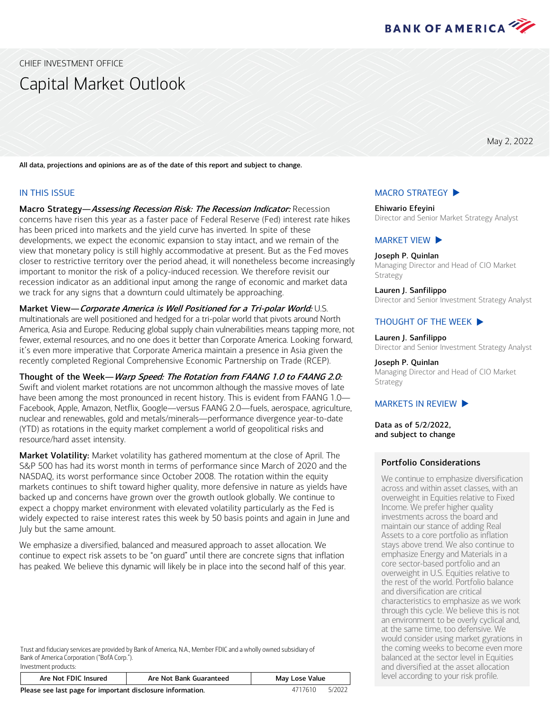

<span id="page-0-0"></span>CHIEF INVESTMENT OFFICE

# Capital Market Outlook

May 2, 2022

All data, projections and opinions are as of the date of this report and subject to change.

#### IN THIS ISSUE

Macro Strategy-Assessing Recession Risk: The Recession Indicator: Recession concerns have risen this year as a faster pace of Federal Reserve (Fed) interest rate hikes has been priced into markets and the yield curve has inverted. In spite of these developments, we expect the economic expansion to stay intact, and we remain of the view that monetary policy is still highly accommodative at present. But as the Fed moves closer to restrictive territory over the period ahead, it will nonetheless become increasingly important to monitor the risk of a policy-induced recession. We therefore revisit our recession indicator as an additional input among the range of economic and market data we track for any signs that a downturn could ultimately be approaching.

Market View-Corporate America is Well Positioned for a Tri-polar World: U.S. multinationals are well positioned and hedged for a tri-polar world that pivots around North America, Asia and Europe. Reducing global supply chain vulnerabilities means tapping more, not fewer, external resources, and no one does it better than Corporate America. Looking forward, it's even more imperative that Corporate America maintain a presence in Asia given the recently completed Regional Comprehensive Economic Partnership on Trade (RCEP).

Thought of the Week—Warp Speed: The Rotation from FAANG 1.0 to FAANG 2.0: Swift and violent market rotations are not uncommon although the massive moves of late have been among the most pronounced in recent history. This is evident from FAANG 1.0— Facebook, Apple, Amazon, Netflix, Google—versus FAANG 2.0—fuels, aerospace, agriculture, nuclear and renewables, gold and metals/minerals—performance divergence year-to-date (YTD) as rotations in the equity market complement a world of geopolitical risks and resource/hard asset intensity.

Market Volatility: Market volatility has gathered momentum at the close of April. The S&P 500 has had its worst month in terms of performance since March of 2020 and the NASDAQ, its worst performance since October 2008. The rotation within the equity markets continues to shift toward higher quality, more defensive in nature as yields have backed up and concerns have grown over the growth outlook globally. We continue to expect a choppy market environment with elevated volatility particularly as the Fed is widely expected to raise interest rates this week by 50 basis points and again in June and July but the same amount.

We emphasize a diversified, balanced and measured approach to asset allocation. We continue to expect risk assets to be "on guard" until there are concrete signs that inflation has peaked. We believe this dynamic will likely be in place into the second half of this year.

Trust and fiduciary services are provided by Bank of America, N.A., Member FDIC and a wholly owned subsidiary of Bank of America Corporation ("BofA Corp."). Investment products:

| Are Not FDIC Insured                                        | Are Not Bank Guaranteed | May Lose Value |  |
|-------------------------------------------------------------|-------------------------|----------------|--|
| Dissas and leat page for booksplant disclosure information. |                         | LUJUJ J        |  |

**Please see last page for important disclosure information.** 4717610 5/2022

#### [MACRO STRATEGY](#page-1-0)  $\blacktriangleright$

Ehiwario Efeyini Director and Senior Market Strategy Analyst

#### [MARKET VIEW](#page-3-0)  $\blacktriangleright$

Joseph P. Quinlan Managing Director and Head of CIO Market Strategy

Lauren J. Sanfilippo Director and Senior Investment Strategy Analyst

#### THOUGHT [OF THE WEEK](#page-5-0)  $\blacktriangleright$

Lauren J. Sanfilippo Director and Senior Investment Strategy Analyst

#### Joseph P. Quinlan

Managing Director and Head of CIO Market Strategy

#### MARKETS [IN REVIEW](#page-6-0)  $\blacktriangleright$

Data as of 5/2/2022, and subject to change

#### Portfolio Considerations

We continue to emphasize diversification across and within asset classes, with an overweight in Equities relative to Fixed Income. We prefer higher quality investments across the board and maintain our stance of adding Real Assets to a core portfolio as inflation stays above trend. We also continue to emphasize Energy and Materials in a core sector-based portfolio and an overweight in U.S. Equities relative to the rest of the world. Portfolio balance and diversification are critical characteristics to emphasize as we work through this cycle. We believe this is not an environment to be overly cyclical and, at the same time, too defensive. We would consider using market gyrations in the coming weeks to become even more balanced at the sector level in Equities and diversified at the asset allocation level according to your risk profile.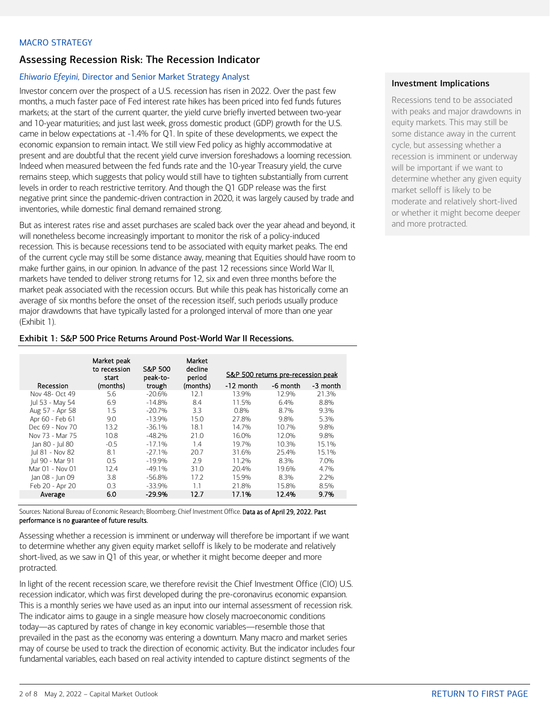### <span id="page-1-0"></span>MACRO STRATEGY

# Assessing Recession Risk: The Recession Indicator

## *Ehiwario Efeyini,* Director and Senior Market Strategy Analyst

Investor concern over the prospect of a U.S. recession has risen in 2022. Over the past few months, a much faster pace of Fed interest rate hikes has been priced into fed funds futures markets; at the start of the current quarter, the yield curve briefly inverted between two-year and 10-year maturities; and just last week, gross domestic product (GDP) growth for the U.S. came in below expectations at -1.4% for Q1. In spite of these developments, we expect the economic expansion to remain intact. We still view Fed policy as highly accommodative at present and are doubtful that the recent yield curve inversion foreshadows a looming recession. Indeed when measured between the fed funds rate and the 10-year Treasury yield, the curve remains steep, which suggests that policy would still have to tighten substantially from current levels in order to reach restrictive territory. And though the Q1 GDP release was the first negative print since the pandemic-driven contraction in 2020, it was largely caused by trade and inventories, while domestic final demand remained strong.

But as interest rates rise and asset purchases are scaled back over the year ahead and beyond, it will nonetheless become increasingly important to monitor the risk of a policy-induced recession. This is because recessions tend to be associated with equity market peaks. The end of the current cycle may still be some distance away, meaning that Equities should have room to make further gains, in our opinion. In advance of the past 12 recessions since World War II, markets have tended to deliver strong returns for 12, six and even three months before the market peak associated with the recession occurs. But while this peak has historically come an average of six months before the onset of the recession itself, such periods usually produce major drawdowns that have typically lasted for a prolonged interval of more than one year (Exhibit 1).

## Exhibit 1: S&P 500 Price Returns Around Post-World War II Recessions.

|                 | Market peak<br>to recession<br>start | S&P 500<br>peak-to- | Market<br>decline<br>period | S&P 500 returns pre-recession peak |          |          |  |  |
|-----------------|--------------------------------------|---------------------|-----------------------------|------------------------------------|----------|----------|--|--|
| Recession       | (months)                             | trough              | (months)                    | -12 month                          | -6 month | -3 month |  |  |
| Nov 48- Oct 49  | 5.6                                  | $-20.6\%$           | 12.1                        | 13.9%                              | 12.9%    | 21.3%    |  |  |
| Jul 53 - May 54 | 6.9                                  | $-14.8%$            | 8.4                         | 11.5%                              | 6.4%     | 8.8%     |  |  |
| Aug 57 - Apr 58 | 1.5                                  | $-20.7%$            | 3.3                         | 0.8%                               | 8.7%     | 9.3%     |  |  |
| Apr 60 - Feb 61 | 9.0                                  | $-13.9\%$           | 15.0                        | 27.8%                              | 9.8%     | 5.3%     |  |  |
| Dec 69 - Nov 70 | 13.2                                 | $-36.1%$            | 18.1                        | 14.7%                              | 10.7%    | 9.8%     |  |  |
| Nov 73 - Mar 75 | 10.8                                 | $-48.2%$            | 21.0                        | 16.0%                              | 12.0%    | 9.8%     |  |  |
| Jan 80 - Jul 80 | $-0.5$                               | $-17.1%$            | 1.4                         | 19.7%                              | 10.3%    | 15.1%    |  |  |
| Jul 81 - Nov 82 | 8.1                                  | $-27.1%$            | 20.7                        | 31.6%                              | 25.4%    | 15.1%    |  |  |
| Jul 90 - Mar 91 | 0.5                                  | $-19.9%$            | 2.9                         | 11.2%                              | 8.3%     | 7.0%     |  |  |
| Mar 01 - Nov 01 | 12.4                                 | $-49.1%$            | 31.0                        | 20.4%                              | 19.6%    | 4.7%     |  |  |
| Jan 08 - Jun 09 | 3.8                                  | $-56.8\%$           | 17.2                        | 15.9%                              | 8.3%     | 2.2%     |  |  |
| Feb 20 - Apr 20 | 0.3                                  | $-33.9\%$           | 1.1                         | 21.8%                              | 15.8%    | 8.5%     |  |  |
| Average         | 6.0                                  | $-29.9%$            | 12.7                        | 17.1%                              | 12.4%    | 9.7%     |  |  |

Sources: National Bureau of Economic Research; Bloomberg; Chief Investment Office. Data as of April 29, 2022. Past performance is no guarantee of future results.

Assessing whether a recession is imminent or underway will therefore be important if we want to determine whether any given equity market selloff is likely to be moderate and relatively short-lived, as we saw in Q1 of this year, or whether it might become deeper and more protracted.

In light of the recent recession scare, we therefore revisit the Chief Investment Office (CIO) U.S. recession indicator, which was first developed during the pre-coronavirus economic expansion. This is a monthly series we have used as an input into our internal assessment of recession risk. The indicator aims to gauge in a single measure how closely macroeconomic conditions today—as captured by rates of change in key economic variables—resemble those that prevailed in the past as the economy was entering a downturn. Many macro and market series may of course be used to track the direction of economic activity. But the indicator includes four fundamental variables, each based on real activity intended to capture distinct segments of the

## Investment Implications

Recessions tend to be associated with peaks and major drawdowns in equity markets. This may still be some distance away in the current cycle, but assessing whether a recession is imminent or underway will be important if we want to determine whether any given equity market selloff is likely to be moderate and relatively short-lived or whether it might become deeper and more protracted.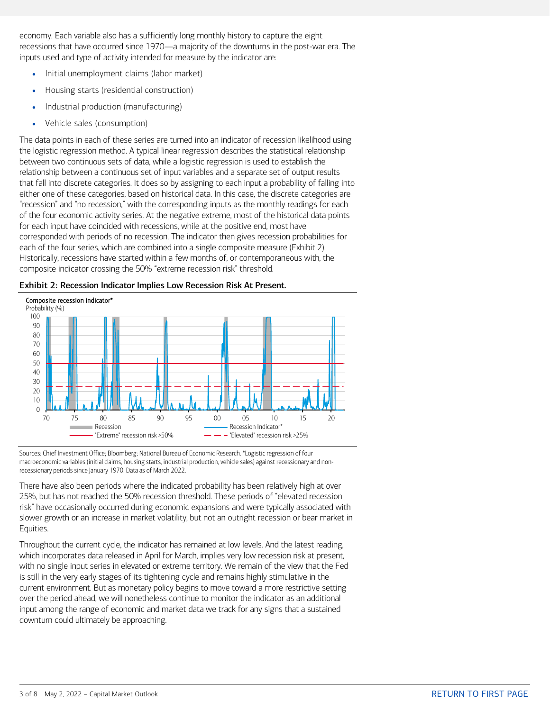economy. Each variable also has a sufficiently long monthly history to capture the eight recessions that have occurred since 1970—a majority of the downturns in the post-war era. The inputs used and type of activity intended for measure by the indicator are:

- Initial unemployment claims (labor market)
- Housing starts (residential construction)
- Industrial production (manufacturing)
- Vehicle sales (consumption)

The data points in each of these series are turned into an indicator of recession likelihood using the logistic regression method. A typical linear regression describes the statistical relationship between two continuous sets of data, while a logistic regression is used to establish the relationship between a continuous set of input variables and a separate set of output results that fall into discrete categories. It does so by assigning to each input a probability of falling into either one of these categories, based on historical data. In this case, the discrete categories are "recession" and "no recession," with the corresponding inputs as the monthly readings for each of the four economic activity series. At the negative extreme, most of the historical data points for each input have coincided with recessions, while at the positive end, most have corresponded with periods of no recession. The indicator then gives recession probabilities for each of the four series, which are combined into a single composite measure (Exhibit 2). Historically, recessions have started within a few months of, or contemporaneous with, the composite indicator crossing the 50% "extreme recession risk" threshold.





Sources: Chief Investment Office; Bloomberg; National Bureau of Economic Research. \*Logistic regression of four macroeconomic variables (initial claims, housing starts, industrial production, vehicle sales) against recessionary and nonrecessionary periods since January 1970. Data as of March 2022.

There have also been periods where the indicated probability has been relatively high at over 25%, but has not reached the 50% recession threshold. These periods of "elevated recession risk" have occasionally occurred during economic expansions and were typically associated with slower growth or an increase in market volatility, but not an outright recession or bear market in Equities.

Throughout the current cycle, the indicator has remained at low levels. And the latest reading, which incorporates data released in April for March, implies very low recession risk at present, with no single input series in elevated or extreme territory. We remain of the view that the Fed is still in the very early stages of its tightening cycle and remains highly stimulative in the current environment. But as monetary policy begins to move toward a more restrictive setting over the period ahead, we will nonetheless continue to monitor the indicator as an additional input among the range of economic and market data we track for any signs that a sustained downturn could ultimately be approaching.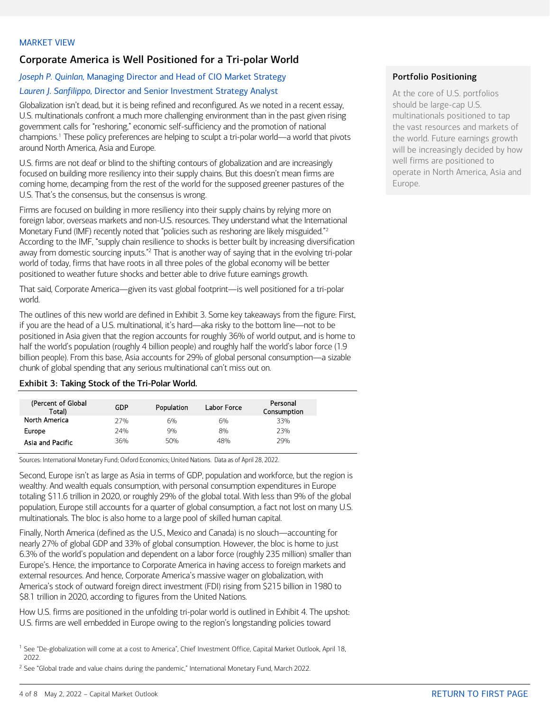# <span id="page-3-0"></span>Corporate America is Well Positioned for a Tri-polar World

## *Joseph P. Quinlan,* Managing Director and Head of CIO Market Strategy

## *Lauren J. Sanfilippo,* Director and Senior Investment Strategy Analyst

Globalization isn't dead, but it is being refined and reconfigured. As we noted in a recent essay, U.S. multinationals confront a much more challenging environment than in the past given rising government calls for "reshoring," economic self-sufficiency and the promotion of national champions.[1](#page-3-1) These policy preferences are helping to sculpt a tri-polar world—a world that pivots around North America, Asia and Europe.

U.S. firms are not deaf or blind to the shifting contours of globalization and are increasingly focused on building more resiliency into their supply chains. But this doesn't mean firms are coming home, decamping from the rest of the world for the supposed greener pastures of the U.S. That's the consensus, but the consensus is wrong.

Firms are focused on building in more resiliency into their supply chains by relying more on foreign labor, overseas markets and non-U.S. resources. They understand what the International Monetary Fund (IMF) recently noted that "policies such as reshoring are likely misguided."<sup>[2](#page-3-2)</sup> According to the IMF, "supply chain resilience to shocks is better built by increasing diversification away from domestic sourcing inputs."<sup>2</sup> That is another way of saying that in the evolving tri-polar world of today, firms that have roots in all three poles of the global economy will be better positioned to weather future shocks and better able to drive future earnings growth.

That said, Corporate America—given its vast global footprint—is well positioned for a tri-polar world.

The outlines of this new world are defined in Exhibit 3. Some key takeaways from the figure: First, if you are the head of a U.S. multinational, it's hard—aka risky to the bottom line—not to be positioned in Asia given that the region accounts for roughly 36% of world output, and is home to half the world's population (roughly 4 billion people) and roughly half the world's labor force (1.9 billion people). From this base, Asia accounts for 29% of global personal consumption—a sizable chunk of global spending that any serious multinational can't miss out on.

#### Exhibit 3: Taking Stock of the Tri-Polar World.

| (Percent of Global<br>Total) | GDP | Population | Labor Force | Personal<br>Consumption |
|------------------------------|-----|------------|-------------|-------------------------|
| North America                | 77% | 6%         | 6%          | 33%                     |
| Europe                       | 24% | 9%         | 8%          | 23%                     |
| Asia and Pacific             | 36% | 50%        | 48%         | 29%                     |

Sources: International Monetary Fund; Oxford Economics; United Nations. Data as of April 28, 2022.

Second, Europe isn't as large as Asia in terms of GDP, population and workforce, but the region is wealthy. And wealth equals consumption, with personal consumption expenditures in Europe totaling \$11.6 trillion in 2020, or roughly 29% of the global total. With less than 9% of the global population, Europe still accounts for a quarter of global consumption, a fact not lost on many U.S. multinationals. The bloc is also home to a large pool of skilled human capital.

Finally, North America (defined as the U.S., Mexico and Canada) is no slouch—accounting for nearly 27% of global GDP and 33% of global consumption. However, the bloc is home to just 6.3% of the world's population and dependent on a labor force (roughly 235 million) smaller than Europe's. Hence, the importance to Corporate America in having access to foreign markets and external resources. And hence, Corporate America's massive wager on globalization, with America's stock of outward foreign direct investment (FDI) rising from \$215 billion in 1980 to \$8.1 trillion in 2020, according to figures from the United Nations.

How U.S. firms are positioned in the unfolding tri-polar world is outlined in Exhibit 4. The upshot: U.S. firms are well embedded in Europe owing to the region's longstanding policies toward

### Portfolio Positioning

At the core of U.S. portfolios should be large-cap U.S. multinationals positioned to tap the vast resources and markets of the world. Future earnings growth will be increasingly decided by how well firms are positioned to operate in North America, Asia and Europe.

<span id="page-3-1"></span><sup>&</sup>lt;sup>1</sup> See "De-globalization will come at a cost to America", Chief Investment Office, Capital Market Outlook, April 18, 2022.

<span id="page-3-2"></span> $2$  See "Global trade and value chains during the pandemic," International Monetary Fund, March 2022.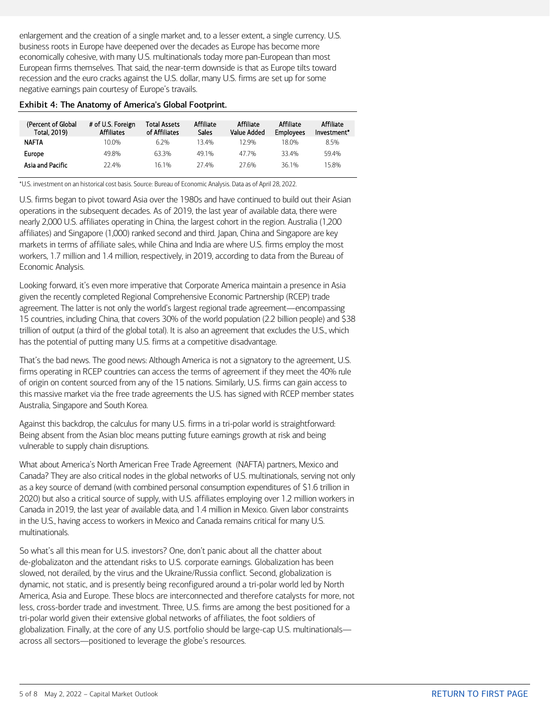enlargement and the creation of a single market and, to a lesser extent, a single currency. U.S. business roots in Europe have deepened over the decades as Europe has become more economically cohesive, with many U.S. multinationals today more pan-European than most European firms themselves. That said, the near-term downside is that as Europe tilts toward recession and the euro cracks against the U.S. dollar, many U.S. firms are set up for some negative earnings pain courtesy of Europe's travails.

#### Exhibit 4: The Anatomy of America's Global Footprint.

| (Percent of Global<br>Total, 2019) | # of U.S. Foreign<br><b>Affiliates</b> | Total Assets<br>of Affiliates | Affiliate<br>Sales <sup>-</sup> | Affiliate<br>Value Added | Affiliate<br><b>Employees</b> | Affiliate<br>Investment* |
|------------------------------------|----------------------------------------|-------------------------------|---------------------------------|--------------------------|-------------------------------|--------------------------|
| <b>NAFTA</b>                       | 10.0%                                  | 62%                           | 134%                            | 12 ዓ%                    | 18 በ%                         | 8.5%                     |
| Europe                             | 49.8%                                  | 63.3%                         | 49 1%                           | 47 7%                    | 33.4%                         | 59.4%                    |
| Asia and Pacific                   | 22.4%                                  | 16 1%                         | 27 4%                           | 276%                     | 36.1%                         | 15.8%                    |

\*U.S. investment on an historical cost basis. Source: Bureau of Economic Analysis. Data as of April 28, 2022.

U.S. firms began to pivot toward Asia over the 1980s and have continued to build out their Asian operations in the subsequent decades. As of 2019, the last year of available data, there were nearly 2,000 U.S. affiliates operating in China, the largest cohort in the region. Australia (1,200 affiliates) and Singapore (1,000) ranked second and third. Japan, China and Singapore are key markets in terms of affiliate sales, while China and India are where U.S. firms employ the most workers, 1.7 million and 1.4 million, respectively, in 2019, according to data from the Bureau of Economic Analysis.

Looking forward, it's even more imperative that Corporate America maintain a presence in Asia given the recently completed Regional Comprehensive Economic Partnership (RCEP) trade agreement. The latter is not only the world's largest regional trade agreement—encompassing 15 countries, including China, that covers 30% of the world population (2.2 billion people) and \$38 trillion of output (a third of the global total). It is also an agreement that excludes the U.S., which has the potential of putting many U.S. firms at a competitive disadvantage.

That's the bad news. The good news: Although America is not a signatory to the agreement, U.S. firms operating in RCEP countries can access the terms of agreement if they meet the 40% rule of origin on content sourced from any of the 15 nations. Similarly, U.S. firms can gain access to this massive market via the free trade agreements the U.S. has signed with RCEP member states Australia, Singapore and South Korea.

Against this backdrop, the calculus for many U.S. firms in a tri-polar world is straightforward: Being absent from the Asian bloc means putting future earnings growth at risk and being vulnerable to supply chain disruptions.

What about America's North American Free Trade Agreement (NAFTA) partners, Mexico and Canada? They are also critical nodes in the global networks of U.S. multinationals, serving not only as a key source of demand (with combined personal consumption expenditures of \$1.6 trillion in 2020) but also a critical source of supply, with U.S. affiliates employing over 1.2 million workers in Canada in 2019, the last year of available data, and 1.4 million in Mexico. Given labor constraints in the U.S., having access to workers in Mexico and Canada remains critical for many U.S. multinationals.

So what's all this mean for U.S. investors? One, don't panic about all the chatter about de-globalizaton and the attendant risks to U.S. corporate earnings. Globalization has been slowed, not derailed, by the virus and the Ukraine/Russia conflict. Second, globalization is dynamic, not static, and is presently being reconfigured around a tri-polar world led by North America, Asia and Europe. These blocs are interconnected and therefore catalysts for more, not less, cross-border trade and investment. Three, U.S. firms are among the best positioned for a tri-polar world given their extensive global networks of affiliates, the foot soldiers of globalization. Finally, at the core of any U.S. portfolio should be large-cap U.S. multinationals across all sectors—positioned to leverage the globe's resources.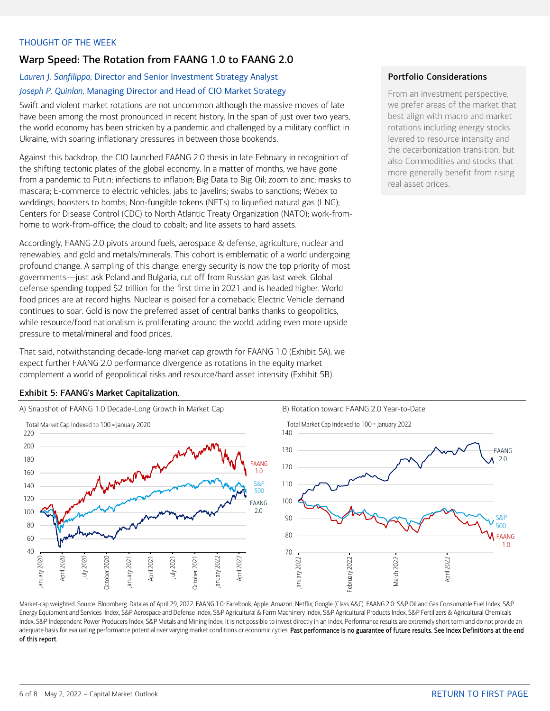### <span id="page-5-0"></span>THOUGHT OF THE WEEK

# Warp Speed: The Rotation from FAANG 1.0 to FAANG 2.0

# *Lauren J. Sanfilippo,* Director and Senior Investment Strategy Analyst *Joseph P. Quinlan,* Managing Director and Head of CIO Market Strategy

Swift and violent market rotations are not uncommon although the massive moves of late have been among the most pronounced in recent history. In the span of just over two years, the world economy has been stricken by a pandemic and challenged by a military conflict in Ukraine, with soaring inflationary pressures in between those bookends.

Against this backdrop, the CIO launched FAANG 2.0 thesis in late February in recognition of the shifting tectonic plates of the global economy. In a matter of months, we have gone from a pandemic to Putin; infections to inflation; Big Data to Big Oil; zoom to zinc; masks to mascara; E-commerce to electric vehicles; jabs to javelins; swabs to sanctions; Webex to weddings; boosters to bombs; Non-fungible tokens (NFTs) to liquefied natural gas (LNG); Centers for Disease Control (CDC) to North Atlantic Treaty Organization (NATO); work-fromhome to work-from-office; the cloud to cobalt; and lite assets to hard assets.

Accordingly, FAANG 2.0 pivots around fuels, aerospace & defense, agriculture, nuclear and renewables, and gold and metals/minerals. This cohort is emblematic of a world undergoing profound change. A sampling of this change: energy security is now the top priority of most governments—just ask Poland and Bulgaria, cut off from Russian gas last week. Global defense spending topped \$2 trillion for the first time in 2021 and is headed higher. World food prices are at record highs. Nuclear is poised for a comeback; Electric Vehicle demand continues to soar. Gold is now the preferred asset of central banks thanks to geopolitics, while resource/food nationalism is proliferating around the world, adding even more upside pressure to metal/mineral and food prices.

That said, notwithstanding decade-long market cap growth for FAANG 1.0 (Exhibit 5A), we expect further FAANG 2.0 performance divergence as rotations in the equity market complement a world of geopolitical risks and resource/hard asset intensity (Exhibit 5B).

## Portfolio Considerations

From an investment perspective, we prefer areas of the market that best align with macro and market rotations including energy stocks levered to resource intensity and the decarbonization transition, but also Commodities and stocks that more generally benefit from rising real asset prices.





Market-cap weighted. Source: Bloomberg. Data as of April 29, 2022. FAANG 1.0: Facebook, Apple, Amazon, Netflix, Google (Class A&C). FAANG 2.0: S&P Oil and Gas Consumable Fuel Index, S&P Energy Equipment and Services Index, S&P Aerospace and Defense Index, S&P Agricultural & Farm Machinery Index, S&P Agricultural Products Index, S&P Fertilizers & Agricultural Chemicals Index, S&P Independent Power Producers Index, S&P Metals and Mining Index. It is not possible to invest directly in an index. Performance results are extremely short term and do not provide an adequate basis for evaluating performance potential over varying market conditions or economic cycles. Past performance is no guarantee of future results. See Index Definitions at the end of this report.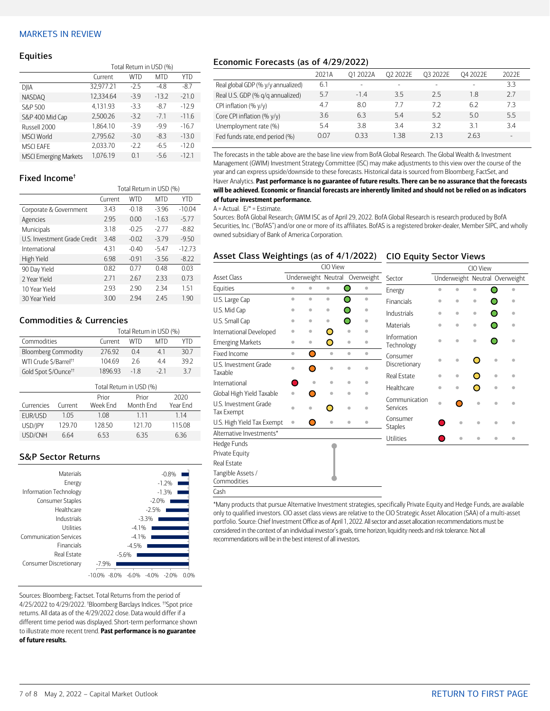#### <span id="page-6-0"></span>MARKETS IN REVIEW

#### Equities

|                              | Total Return in USD (%) |        |            |         |  |  |  |
|------------------------------|-------------------------|--------|------------|---------|--|--|--|
|                              | Current                 | WTD    | <b>MTD</b> | YTD     |  |  |  |
| DJIA                         | 32,977.21               | $-2.5$ | $-4.8$     | $-8.7$  |  |  |  |
| <b>NASDAO</b>                | 12,334.64               | $-3.9$ | $-13.2$    | $-21.0$ |  |  |  |
| S&P 500                      | 4,131.93                | $-3.3$ | $-8.7$     | $-12.9$ |  |  |  |
| S&P 400 Mid Cap              | 2.500.26                | $-3.2$ | $-7.1$     | $-11.6$ |  |  |  |
| Russell 2000                 | 1,864.10                | $-3.9$ | $-9.9$     | $-16.7$ |  |  |  |
| <b>MSCI World</b>            | 2,795.62                | $-3.0$ | $-8.3$     | $-13.0$ |  |  |  |
| <b>MSCI EAFE</b>             | 2.033.70                | $-2.2$ | $-6.5$     | $-12.0$ |  |  |  |
| <b>MSCI Emerging Markets</b> | 1.076.19                | 0.1    | $-5.6$     | $-12.1$ |  |  |  |

#### Fixed Income†

|                              | Total Return in USD (%) |         |            |          |  |  |  |
|------------------------------|-------------------------|---------|------------|----------|--|--|--|
|                              | Current                 | WTD     | <b>MTD</b> | YTD      |  |  |  |
| Corporate & Government       | 3.43                    | $-0.18$ | $-3.96$    | $-10.04$ |  |  |  |
| Agencies                     | 2.95                    | 0.00    | $-1.63$    | $-5.77$  |  |  |  |
| Municipals                   | 3.18                    | $-0.25$ | $-2.77$    | $-8.82$  |  |  |  |
| U.S. Investment Grade Credit | 3.48                    | $-0.02$ | $-3.79$    | $-9.50$  |  |  |  |
| International                | 4.31                    | $-0.40$ | $-5.47$    | $-12.73$ |  |  |  |
| High Yield                   | 6.98                    | $-0.91$ | $-3.56$    | $-8.22$  |  |  |  |
| 90 Day Yield                 | 0.82                    | 0.77    | 0.48       | 0.03     |  |  |  |
| 2 Year Yield                 | 2.71                    | 2.67    | 2.33       | 0.73     |  |  |  |
| 10 Year Yield                | 2.93                    | 2.90    | 2.34       | 1.51     |  |  |  |
| 30 Year Yield                | 3.00                    | 2.94    | 2.45       | 1.90     |  |  |  |

#### Commodities & Currencies

|                                   | Total Return in USD (%) |       |       |      |  |  |  |
|-----------------------------------|-------------------------|-------|-------|------|--|--|--|
| Commodities                       | Current                 | WTD   | MTD   | YTD  |  |  |  |
| <b>Bloomberg Commodity</b>        | 27692                   | 04    | 41    | 30.7 |  |  |  |
| WTI Crude \$/Barrel <sup>++</sup> | 104.69                  | 26    | 44    | 392  |  |  |  |
| Gold Spot \$/Ounce <sup>tt</sup>  | 1896 93                 | $-18$ | $-21$ | 37   |  |  |  |
|                                   |                         |       |       |      |  |  |  |

|            | Total Return in USD (%) |          |           |          |  |  |  |  |
|------------|-------------------------|----------|-----------|----------|--|--|--|--|
|            |                         | Prior    | Prior     |          |  |  |  |  |
| Currencies | Current                 | Week Fnd | Month Fnd | Year Fnd |  |  |  |  |
| EUR/USD    | 105                     | 1.08     | 1 1 1     | 114      |  |  |  |  |
| USD/IPY    | 129.70                  | 128.50   | 121.70    | 115.08   |  |  |  |  |
| USD/CNH    | 664                     | 653      | 6.35      | 636      |  |  |  |  |

#### S&P Sector Returns

| <b>Materials</b>              | $-0.8%$                                                       |
|-------------------------------|---------------------------------------------------------------|
| Energy                        | $-1.2%$                                                       |
| Information Technology        | $-1.3%$                                                       |
| Consumer Staples              | $-2.0%$                                                       |
| Healthcare                    | $-2.5%$                                                       |
| Industrials                   | $-3.3%$                                                       |
| Utilities                     | $-4.1%$                                                       |
| <b>Communication Services</b> | $-4.1%$                                                       |
| Financials                    | $-4.5%$                                                       |
| <b>Real Estate</b>            | $-5.6%$                                                       |
| Consumer Discretionary        | $-7.9%$                                                       |
|                               | $-6.0\%$<br>$-10.0%$<br>$-4.0%$<br>$-8.0%$<br>$-2.0%$<br>በ በ% |

Sources: Bloomberg; Factset. Total Returns from the period of 4/25/2022 to 4/29/2022. † Bloomberg Barclays Indices. ††Spot price returns. All data as of the 4/29/2022 close. Data would differ if a different time period was displayed. Short-term performance shown to illustrate more recent trend. Past performance is no guarantee of future results.

### Economic Forecasts (as of 4/29/2022)

|                                    | 2021A | 01 2022A | O <sub>2</sub> 2022E     | 03 2022E                 | O4 2022E                 | 2022F  |
|------------------------------------|-------|----------|--------------------------|--------------------------|--------------------------|--------|
| Real global GDP (% y/y annualized) | 6.1   |          | $\overline{\phantom{0}}$ | $\overline{\phantom{a}}$ | $\overline{\phantom{a}}$ | 3.3    |
| Real U.S. GDP (% q/q annualized)   | 5.7   | $-1.4$   | 3.5                      | 25                       | 1.8                      | 2.7    |
| CPI inflation $(\% \gamma/\gamma)$ | 4.7   | 8.0      | 77                       | 72                       | 6.2                      | 7.3    |
| Core CPI inflation (% y/y)         | 3.6   | 6.3      | 5.4                      | 52                       | 5.0                      | 5.5    |
| Unemployment rate (%)              | 5.4   | 3.8      | 3.4                      | 32                       | 31                       | 34     |
| Fed funds rate, end period (%)     | 0.07  | 033      | 1.38                     | 213                      | 2.63                     | $\sim$ |

The forecasts in the table above are the base line view from BofA Global Research. The Global Wealth & Investment Management (GWIM) Investment Strategy Committee (ISC) may make adjustments to this view over the course of the year and can express upside/downside to these forecasts. Historical data is sourced from Bloomberg, FactSet, and Haver Analytics. Past performance is no guarantee of future results. There can be no assurance that the forecasts will be achieved. Economic or financial forecasts are inherently limited and should not be relied on as indicators of future investment performance.

#### $A =$  Actual.  $E/* =$  Estimate.

Sources: BofA Global Research; GWIM ISC as of April 29, 2022. BofA Global Research is research produced by BofA Securities, Inc. ("BofAS") and/or one or more of its affiliates. BofAS is a registered broker-dealer, Member SIPC, and wholly owned subsidiary of Bank of America Corporation.

#### Asset Class Weightings (as of 4/1/2022) CIO Equity Sector Views

|                                     |                     |           | CIO View  |                        |                            | CIO View                       |           |           |           |           |
|-------------------------------------|---------------------|-----------|-----------|------------------------|----------------------------|--------------------------------|-----------|-----------|-----------|-----------|
| <b>Asset Class</b>                  | Underweight Neutral |           |           | Overweight             | Sector                     | Underweight Neutral Overweight |           |           |           |           |
| Equities                            | ۰                   | $\bullet$ | $\bullet$ | Ω<br>$\bullet$         | Energy                     | $\triangleq$                   |           | ä         |           |           |
| U.S. Large Cap                      | ö                   | $\bullet$ | $\bullet$ | ∩<br>$\bullet$         | <b>Financials</b>          | $\bullet$                      | $\bullet$ | ۰         |           | ۰         |
| U.S. Mid Cap                        | ۰                   | ۰         | $\bullet$ | ۰                      | Industrials                | $\bullet$                      | $\bullet$ | $\bullet$ |           | $\bullet$ |
| U.S. Small Cap                      | ۵                   | ۰         | ۰         | ∩                      | Materials                  | ò                              | ö         | $\bullet$ |           |           |
| International Developed             | ö                   | ۰         | Ο         | $\bullet$              |                            |                                |           |           |           |           |
| <b>Emerging Markets</b>             | ö                   | $\bullet$ | O         | $\bullet$              | Information<br>Technology  | ó                              | $\bullet$ | ۰         |           |           |
| Fixed Income                        | $\bullet$           | Ο         | $\bullet$ | $\bullet$<br>$\bullet$ | Consumer                   |                                |           |           |           |           |
| U.S. Investment Grade<br>Taxable    | á                   | ∍         | ö         | ۵                      | Discretionary              | $\triangleq$                   | $\bullet$ | Ω         | ۰         | ä         |
| International                       |                     | ۵         | ۰         | ó<br>۰                 | <b>Real Estate</b>         | ۰                              | ۰         | O         | ۰         |           |
|                                     |                     |           |           |                        | Healthcare                 | ö                              | ö         | O         | $\bullet$ |           |
| Global High Yield Taxable           | ö                   |           | ۰         | $\bullet$              | Communication              |                                |           |           |           |           |
| U.S. Investment Grade<br>Tax Exempt |                     |           | □         | ö                      | Services                   | $\bullet$                      |           | ó         |           |           |
| U.S. High Yield Tax Exempt          | $\bullet$           | O         | ö         | $\bullet$<br>٠         | Consumer<br><b>Staples</b> |                                | ۰         | ó         | ۵         |           |
| Alternative Investments*            |                     |           |           |                        | Utilities                  |                                | ۵         |           |           | ۵         |
| Hedge Funds                         |                     |           |           |                        |                            |                                |           |           |           |           |
| Private Equity                      |                     |           |           |                        |                            |                                |           |           |           |           |
| Real Estate                         |                     |           |           |                        |                            |                                |           |           |           |           |
| Tangible Assets /<br>Commodities    |                     |           |           |                        |                            |                                |           |           |           |           |
| Cash                                |                     |           |           |                        |                            |                                |           |           |           |           |

\*Many products that pursue Alternative Investment strategies, specifically Private Equity and Hedge Funds, are available only to qualified investors. CIO asset class views are relative to the CIO Strategic Asset Allocation (SAA) of a multi-asset portfolio. Source: Chief Investment Office as of April 1, 2022. All sector and asset allocation recommendations must be considered in the context of an individual investor's goals, time horizon, liquidity needs and risk tolerance. Not all recommendations will be in the best interest of all investors.